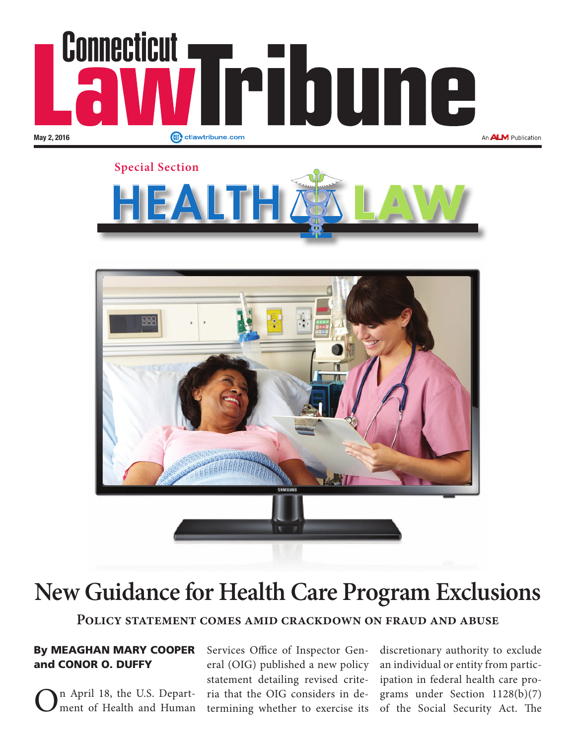





# **New Guidance for Health Care Program Exclusions**

**Policy statement comes amid crackdown on fraud and abuse**

### By MEAGHAN MARY COOPER and CONOR O. DUFFY

n April 18, the U.S. Department of Health and Human

Services Office of Inspector General (OIG) published a new policy statement detailing revised criteria that the OIG considers in determining whether to exercise its

discretionary authority to exclude an individual or entity from participation in federal health care programs under Section 1128(b)(7) of the Social Security Act. The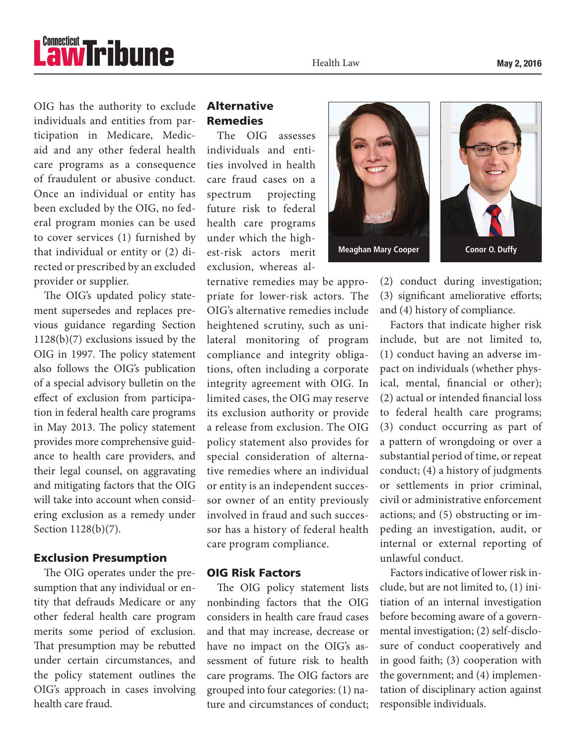# *<u><b><u>awTribune</u>*</u>

Health Law

OIG has the authority to exclude individuals and entities from participation in Medicare, Medicaid and any other federal health care programs as a consequence of fraudulent or abusive conduct. Once an individual or entity has been excluded by the OIG, no federal program monies can be used to cover services (1) furnished by that individual or entity or (2) directed or prescribed by an excluded provider or supplier.

The OIG's updated policy statement supersedes and replaces previous guidance regarding Section 1128(b)(7) exclusions issued by the OIG in 1997. The policy statement also follows the OIG's publication of a special advisory bulletin on the effect of exclusion from participation in federal health care programs in May 2013. The policy statement provides more comprehensive guidance to health care providers, and their legal counsel, on aggravating and mitigating factors that the OIG will take into account when considering exclusion as a remedy under Section 1128(b)(7).

#### Exclusion Presumption

The OIG operates under the presumption that any individual or entity that defrauds Medicare or any other federal health care program merits some period of exclusion. That presumption may be rebutted under certain circumstances, and the policy statement outlines the OIG's approach in cases involving health care fraud.

## Alternative Remedies

The OIG assesses individuals and entities involved in health care fraud cases on a spectrum projecting future risk to federal health care programs under which the highest-risk actors merit exclusion, whereas al-

ternative remedies may be appropriate for lower-risk actors. The OIG's alternative remedies include heightened scrutiny, such as unilateral monitoring of program compliance and integrity obligations, often including a corporate integrity agreement with OIG. In limited cases, the OIG may reserve its exclusion authority or provide a release from exclusion. The OIG policy statement also provides for special consideration of alternative remedies where an individual or entity is an independent successor owner of an entity previously involved in fraud and such successor has a history of federal health care program compliance.

#### OIG Risk Factors

The OIG policy statement lists nonbinding factors that the OIG considers in health care fraud cases and that may increase, decrease or have no impact on the OIG's assessment of future risk to health care programs. The OIG factors are grouped into four categories: (1) nature and circumstances of conduct;



(2) conduct during investigation; (3) significant ameliorative efforts; and (4) history of compliance.

Factors that indicate higher risk include, but are not limited to, (1) conduct having an adverse impact on individuals (whether physical, mental, financial or other); (2) actual or intended financial loss to federal health care programs; (3) conduct occurring as part of a pattern of wrongdoing or over a substantial period of time, or repeat conduct; (4) a history of judgments or settlements in prior criminal, civil or administrative enforcement actions; and (5) obstructing or impeding an investigation, audit, or internal or external reporting of unlawful conduct.

Factors indicative of lower risk include, but are not limited to, (1) initiation of an internal investigation before becoming aware of a governmental investigation; (2) self-disclosure of conduct cooperatively and in good faith; (3) cooperation with the government; and (4) implementation of disciplinary action against responsible individuals.